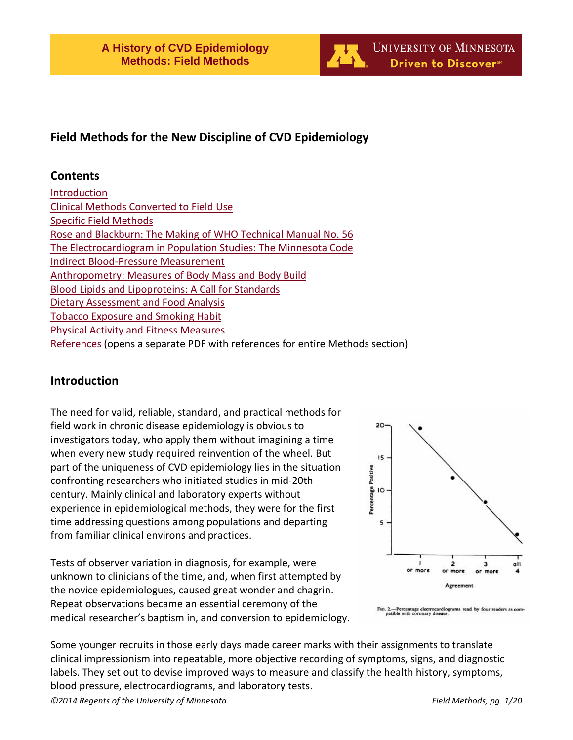

# **Field Methods for the New Discipline of CVD Epidemiology**

### **Contents**

### <span id="page-0-0"></span>**Introduction**

The need for valid, reliable, standard, and practical methods for field work in chronic disease epidemiology is obvious to investigators today, who apply them without imagining a time when every new study required reinvention of the wheel. But part of the uniqueness of CVD epidemiology lies in the situation confronting researchers who initiated studies in mid-20th century. Mainly clinical and laboratory experts without experience in epidemiological methods, they were for the first time addressing questions among populations and departing from familiar clinical environs and practices.

Tests of observer variation in diagnosis, for example, were unknown to clinicians of the time, and, when first attempted by the novice epidemiologues, caused great wonder and chagrin. Repeat observations became an essential ceremony of the medical researcher's baptism in, and conversion to epidemiology.



FIG. 2.-Percentage electrocardiograms read by four readers as compatible with coronary disease.

Some younger recruits in those early days made career marks with their assignments to translate clinical impressionism into repeatable, more objective recording of symptoms, signs, and diagnostic labels. They set out to devise improved ways to measure and classify the health history, symptoms, blood pressure, electrocardiograms, and laboratory tests.

*©2014 Regents of the University of Minnesota Field Methods, pg. 1/20*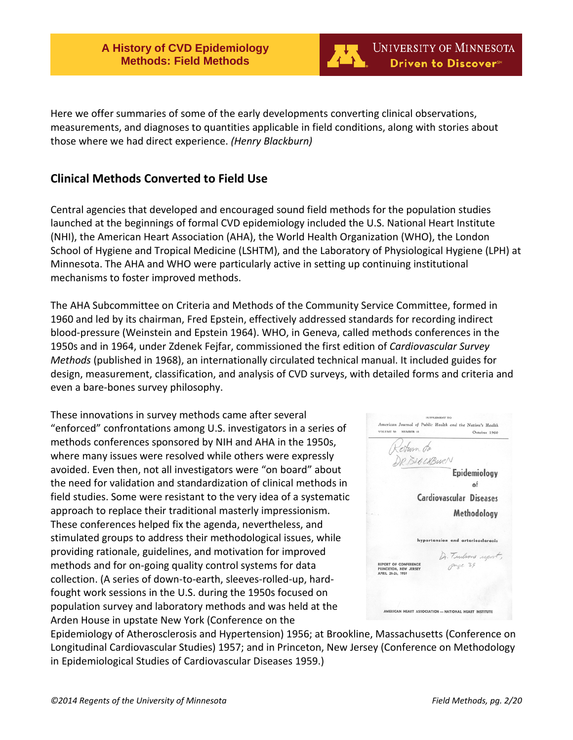

Here we offer summaries of some of the early developments converting clinical observations, measurements, and diagnoses to quantities applicable in field conditions, along with stories about those where we had direct experience. *(Henry Blackburn)*

## <span id="page-1-0"></span>**Clinical Methods Converted to Field Use**

Central agencies that developed and encouraged sound field methods for the population studies launched at the beginnings of formal CVD epidemiology included the U.S. National Heart Institute (NHI), the American Heart Association (AHA), the World Health Organization (WHO), the London School of Hygiene and Tropical Medicine (LSHTM), and the Laboratory of Physiological Hygiene (LPH) at Minnesota. The AHA and WHO were particularly active in setting up continuing institutional mechanisms to foster improved methods.

The AHA Subcommittee on Criteria and Methods of the Community Service Committee, formed in 1960 and led by its chairman, Fred Epstein, effectively addressed standards for recording indirect blood-pressure (Weinstein and Epstein 1964). WHO, in Geneva, called methods conferences in the 1950s and in 1964, under Zdenek Fejfar, commissioned the first edition of *Cardiovascular Survey Methods* (published in 1968), an internationally circulated technical manual. It included guides for design, measurement, classification, and analysis of CVD surveys, with detailed forms and criteria and even a bare-bones survey philosophy.

These innovations in survey methods came after several "enforced" confrontations among U.S. investigators in a series of methods conferences sponsored by NIH and AHA in the 1950s, where many issues were resolved while others were expressly avoided. Even then, not all investigators were "on board" about the need for validation and standardization of clinical methods in field studies. Some were resistant to the very idea of a systematic approach to replace their traditional masterly impressionism. These conferences helped fix the agenda, nevertheless, and stimulated groups to address their methodological issues, while providing rationale, guidelines, and motivation for improved methods and for on-going quality control systems for data collection. (A series of down-to-earth, sleeves-rolled-up, hardfought work sessions in the U.S. during the 1950s focused on population survey and laboratory methods and was held at the Arden House in upstate New York (Conference on the



Epidemiology of Atherosclerosis and Hypertension) 1956; at Brookline, Massachusetts (Conference on Longitudinal Cardiovascular Studies) 1957; and in Princeton, New Jersey (Conference on Methodology in Epidemiological Studies of Cardiovascular Diseases 1959.)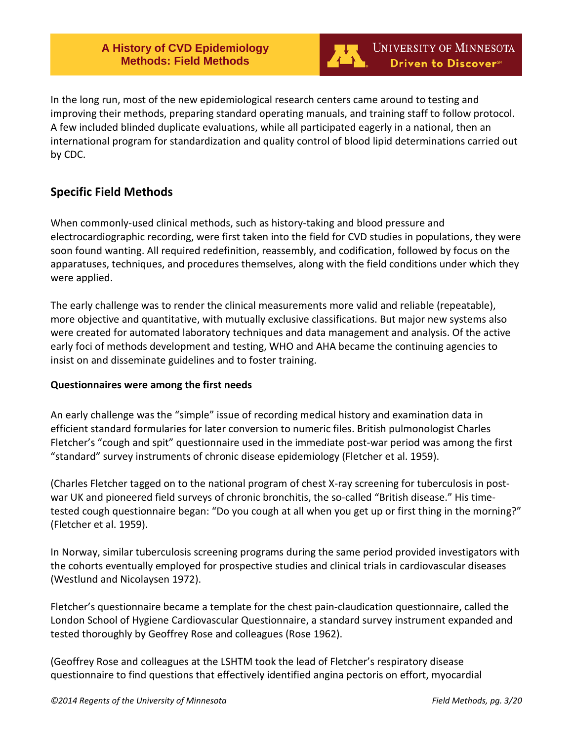

In the long run, most of the new epidemiological research centers came around to testing and improving their methods, preparing standard operating manuals, and training staff to follow protocol. A few included blinded duplicate evaluations, while all participated eagerly in a national, then an international program for standardization and quality control of blood lipid determinations carried out by CDC.

## <span id="page-2-0"></span>**Specific Field Methods**

When commonly-used clinical methods, such as history-taking and blood pressure and electrocardiographic recording, were first taken into the field for CVD studies in populations, they were soon found wanting. All required redefinition, reassembly, and codification, followed by focus on the apparatuses, techniques, and procedures themselves, along with the field conditions under which they were applied.

The early challenge was to render the clinical measurements more valid and reliable (repeatable), more objective and quantitative, with mutually exclusive classifications. But major new systems also were created for automated laboratory techniques and data management and analysis. Of the active early foci of methods development and testing, WHO and AHA became the continuing agencies to insist on and disseminate guidelines and to foster training.

#### **Questionnaires were among the first needs**

An early challenge was the "simple" issue of recording medical history and examination data in efficient standard formularies for later conversion to numeric files. British pulmonologist Charles Fletcher's "cough and spit" questionnaire used in the immediate post-war period was among the first "standard" survey instruments of chronic disease epidemiology (Fletcher et al. 1959).

(Charles Fletcher tagged on to the national program of chest X-ray screening for tuberculosis in postwar UK and pioneered field surveys of chronic bronchitis, the so-called "British disease." His timetested cough questionnaire began: "Do you cough at all when you get up or first thing in the morning?" (Fletcher et al. 1959).

In Norway, similar tuberculosis screening programs during the same period provided investigators with the cohorts eventually employed for prospective studies and clinical trials in cardiovascular diseases (Westlund and Nicolaysen 1972).

Fletcher's questionnaire became a template for the chest pain-claudication questionnaire, called the London School of Hygiene Cardiovascular Questionnaire, a standard survey instrument expanded and tested thoroughly by Geoffrey Rose and colleagues (Rose 1962).

(Geoffrey Rose and colleagues at the LSHTM took the lead of Fletcher's respiratory disease questionnaire to find questions that effectively identified angina pectoris on effort, myocardial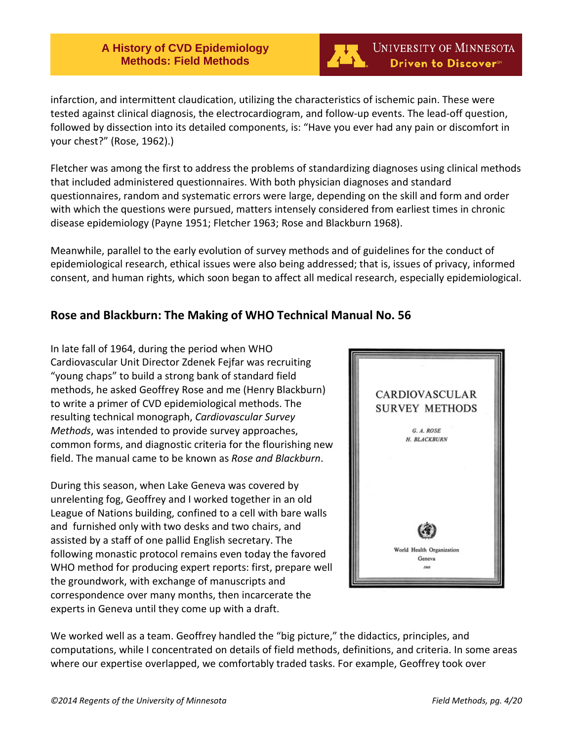

infarction, and intermittent claudication, utilizing the characteristics of ischemic pain. These were tested against clinical diagnosis, the electrocardiogram, and follow-up events. The lead-off question, followed by dissection into its detailed components, is: "Have you ever had any pain or discomfort in your chest?" (Rose, 1962).)

Fletcher was among the first to address the problems of standardizing diagnoses using clinical methods that included administered questionnaires. With both physician diagnoses and standard questionnaires, random and systematic errors were large, depending on the skill and form and order with which the questions were pursued, matters intensely considered from earliest times in chronic disease epidemiology (Payne 1951; Fletcher 1963; Rose and Blackburn 1968).

Meanwhile, parallel to the early evolution of survey methods and of guidelines for the conduct of epidemiological research, ethical issues were also being addressed; that is, issues of privacy, informed consent, and human rights, which soon began to affect all medical research, especially epidemiological.

## <span id="page-3-0"></span>**Rose and Blackburn: The Making of WHO Technical Manual No. 56**

In late fall of 1964, during the period when WHO Cardiovascular Unit Director Zdenek Fejfar was recruiting "young chaps" to build a strong bank of standard field methods, he asked Geoffrey Rose and me (Henry Blackburn) to write a primer of CVD epidemiological methods. The resulting technical monograph, *Cardiovascular Survey Methods*, was intended to provide survey approaches, common forms, and diagnostic criteria for the flourishing new field. The manual came to be known as *Rose and Blackburn*.

During this season, when Lake Geneva was covered by unrelenting fog, Geoffrey and I worked together in an old League of Nations building, confined to a cell with bare walls and furnished only with two desks and two chairs, and assisted by a staff of one pallid English secretary. The following monastic protocol remains even today the favored WHO method for producing expert reports: first, prepare well the groundwork, with exchange of manuscripts and correspondence over many months, then incarcerate the experts in Geneva until they come up with a draft.



We worked well as a team. Geoffrey handled the "big picture," the didactics, principles, and computations, while I concentrated on details of field methods, definitions, and criteria. In some areas where our expertise overlapped, we comfortably traded tasks. For example, Geoffrey took over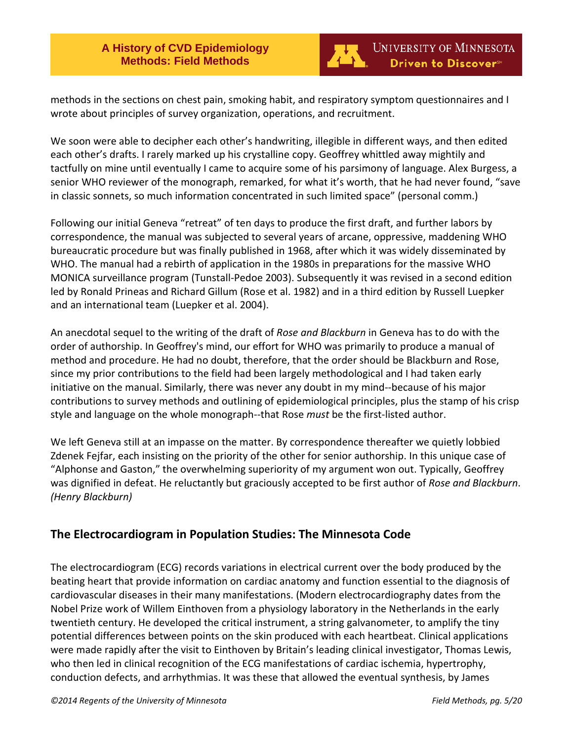

methods in the sections on chest pain, smoking habit, and respiratory symptom questionnaires and I wrote about principles of survey organization, operations, and recruitment.

We soon were able to decipher each other's handwriting, illegible in different ways, and then edited each other's drafts. I rarely marked up his crystalline copy. Geoffrey whittled away mightily and tactfully on mine until eventually I came to acquire some of his parsimony of language. Alex Burgess, a senior WHO reviewer of the monograph, remarked, for what it's worth, that he had never found, "save in classic sonnets, so much information concentrated in such limited space" (personal comm.)

Following our initial Geneva "retreat" of ten days to produce the first draft, and further labors by correspondence, the manual was subjected to several years of arcane, oppressive, maddening WHO bureaucratic procedure but was finally published in 1968, after which it was widely disseminated by WHO. The manual had a rebirth of application in the 1980s in preparations for the massive WHO MONICA surveillance program (Tunstall-Pedoe 2003). Subsequently it was revised in a second edition led by Ronald Prineas and Richard Gillum (Rose et al. 1982) and in a third edition by Russell Luepker and an international team (Luepker et al. 2004).

An anecdotal sequel to the writing of the draft of *Rose and Blackburn* in Geneva has to do with the order of authorship. In Geoffrey's mind, our effort for WHO was primarily to produce a manual of method and procedure. He had no doubt, therefore, that the order should be Blackburn and Rose, since my prior contributions to the field had been largely methodological and I had taken early initiative on the manual. Similarly, there was never any doubt in my mind--because of his major contributions to survey methods and outlining of epidemiological principles, plus the stamp of his crisp style and language on the whole monograph--that Rose *must* be the first-listed author.

We left Geneva still at an impasse on the matter. By correspondence thereafter we quietly lobbied Zdenek Fejfar, each insisting on the priority of the other for senior authorship. In this unique case of "Alphonse and Gaston," the overwhelming superiority of my argument won out. Typically, Geoffrey was dignified in defeat. He reluctantly but graciously accepted to be first author of *Rose and Blackburn*. *(Henry Blackburn)*

# <span id="page-4-0"></span>**The Electrocardiogram in Population Studies: The Minnesota Code**

The electrocardiogram (ECG) records variations in electrical current over the body produced by the beating heart that provide information on cardiac anatomy and function essential to the diagnosis of cardiovascular diseases in their many manifestations. (Modern electrocardiography dates from the Nobel Prize work of Willem Einthoven from a physiology laboratory in the Netherlands in the early twentieth century. He developed the critical instrument, a string galvanometer, to amplify the tiny potential differences between points on the skin produced with each heartbeat. Clinical applications were made rapidly after the visit to Einthoven by Britain's leading clinical investigator, Thomas Lewis, who then led in clinical recognition of the ECG manifestations of cardiac ischemia, hypertrophy, conduction defects, and arrhythmias. It was these that allowed the eventual synthesis, by James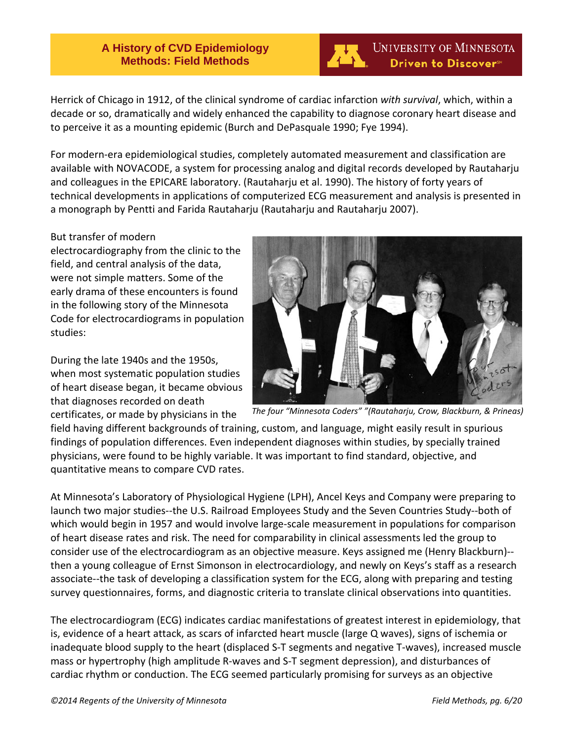Herrick of Chicago in 1912, of the clinical syndrome of cardiac infarction *with survival*, which, within a decade or so, dramatically and widely enhanced the capability to diagnose coronary heart disease and to perceive it as a mounting epidemic (Burch and DePasquale 1990; Fye 1994).

For modern-era epidemiological studies, completely automated measurement and classification are available with NOVACODE, a system for processing analog and digital records developed by Rautaharju and colleagues in the EPICARE laboratory. (Rautaharju et al. 1990). The history of forty years of technical developments in applications of computerized ECG measurement and analysis is presented in a monograph by Pentti and Farida Rautaharju (Rautaharju and Rautaharju 2007).

#### But transfer of modern

electrocardiography from the clinic to the field, and central analysis of the data, were not simple matters. Some of the early drama of these encounters is found in the following story of the Minnesota Code for electrocardiograms in population studies:

During the late 1940s and the 1950s, when most systematic population studies of heart disease began, it became obvious that diagnoses recorded on death certificates, or made by physicians in the



**UNIVERSITY OF MINNESOTA** Driven to Discover<sup>54</sup>

*The four "Minnesota Coders" "(Rautaharju, Crow, Blackburn, & Prineas)*

field having different backgrounds of training, custom, and language, might easily result in spurious findings of population differences. Even independent diagnoses within studies, by specially trained physicians, were found to be highly variable. It was important to find standard, objective, and quantitative means to compare CVD rates.

At Minnesota's Laboratory of Physiological Hygiene (LPH), Ancel Keys and Company were preparing to launch two major studies--the U.S. Railroad Employees Study and the Seven Countries Study--both of which would begin in 1957 and would involve large-scale measurement in populations for comparison of heart disease rates and risk. The need for comparability in clinical assessments led the group to consider use of the electrocardiogram as an objective measure. Keys assigned me (Henry Blackburn)- then a young colleague of Ernst Simonson in electrocardiology, and newly on Keys's staff as a research associate--the task of developing a classification system for the ECG, along with preparing and testing survey questionnaires, forms, and diagnostic criteria to translate clinical observations into quantities.

The electrocardiogram (ECG) indicates cardiac manifestations of greatest interest in epidemiology, that is, evidence of a heart attack, as scars of infarcted heart muscle (large Q waves), signs of ischemia or inadequate blood supply to the heart (displaced S-T segments and negative T-waves), increased muscle mass or hypertrophy (high amplitude R-waves and S-T segment depression), and disturbances of cardiac rhythm or conduction. The ECG seemed particularly promising for surveys as an objective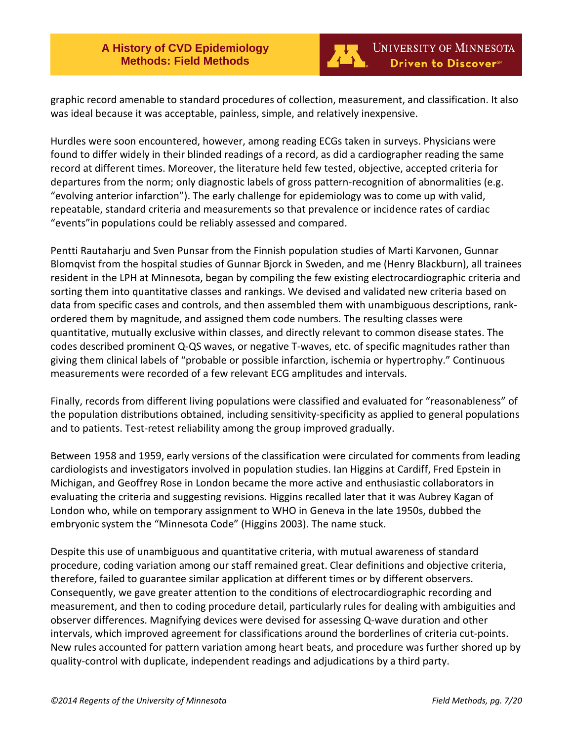

graphic record amenable to standard procedures of collection, measurement, and classification. It also was ideal because it was acceptable, painless, simple, and relatively inexpensive.

Hurdles were soon encountered, however, among reading ECGs taken in surveys. Physicians were found to differ widely in their blinded readings of a record, as did a cardiographer reading the same record at different times. Moreover, the literature held few tested, objective, accepted criteria for departures from the norm; only diagnostic labels of gross pattern-recognition of abnormalities (e.g. "evolving anterior infarction"). The early challenge for epidemiology was to come up with valid, repeatable, standard criteria and measurements so that prevalence or incidence rates of cardiac "events"in populations could be reliably assessed and compared.

Pentti Rautaharju and Sven Punsar from the Finnish population studies of Marti Karvonen, Gunnar Blomqvist from the hospital studies of Gunnar Bjorck in Sweden, and me (Henry Blackburn), all trainees resident in the LPH at Minnesota, began by compiling the few existing electrocardiographic criteria and sorting them into quantitative classes and rankings. We devised and validated new criteria based on data from specific cases and controls, and then assembled them with unambiguous descriptions, rankordered them by magnitude, and assigned them code numbers. The resulting classes were quantitative, mutually exclusive within classes, and directly relevant to common disease states. The codes described prominent Q-QS waves, or negative T-waves, etc. of specific magnitudes rather than giving them clinical labels of "probable or possible infarction, ischemia or hypertrophy." Continuous measurements were recorded of a few relevant ECG amplitudes and intervals.

Finally, records from different living populations were classified and evaluated for "reasonableness" of the population distributions obtained, including sensitivity-specificity as applied to general populations and to patients. Test-retest reliability among the group improved gradually.

Between 1958 and 1959, early versions of the classification were circulated for comments from leading cardiologists and investigators involved in population studies. Ian Higgins at Cardiff, Fred Epstein in Michigan, and Geoffrey Rose in London became the more active and enthusiastic collaborators in evaluating the criteria and suggesting revisions. Higgins recalled later that it was Aubrey Kagan of London who, while on temporary assignment to WHO in Geneva in the late 1950s, dubbed the embryonic system the "Minnesota Code" (Higgins 2003). The name stuck.

Despite this use of unambiguous and quantitative criteria, with mutual awareness of standard procedure, coding variation among our staff remained great. Clear definitions and objective criteria, therefore, failed to guarantee similar application at different times or by different observers. Consequently, we gave greater attention to the conditions of electrocardiographic recording and measurement, and then to coding procedure detail, particularly rules for dealing with ambiguities and observer differences. Magnifying devices were devised for assessing Q-wave duration and other intervals, which improved agreement for classifications around the borderlines of criteria cut-points. New rules accounted for pattern variation among heart beats, and procedure was further shored up by quality-control with duplicate, independent readings and adjudications by a third party.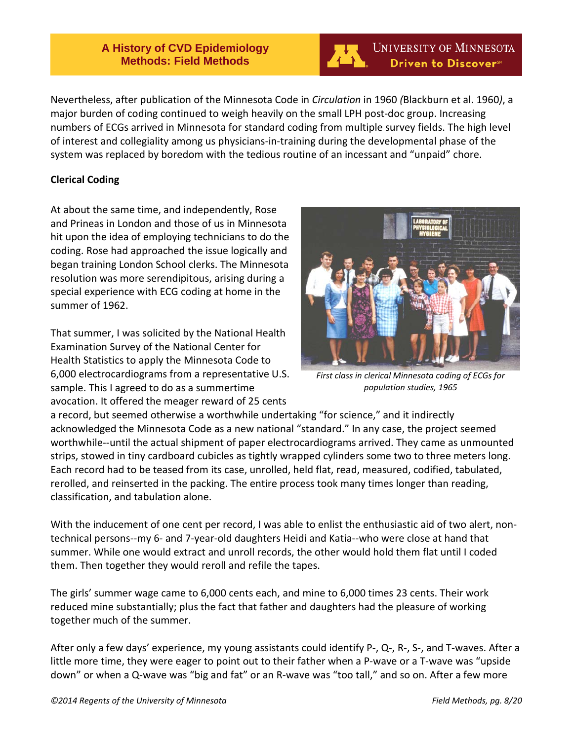

Nevertheless, after publication of the Minnesota Code in *Circulation* in 1960 *(*Blackburn et al. 1960*)*, a major burden of coding continued to weigh heavily on the small LPH post-doc group. Increasing numbers of ECGs arrived in Minnesota for standard coding from multiple survey fields. The high level of interest and collegiality among us physicians-in-training during the developmental phase of the system was replaced by boredom with the tedious routine of an incessant and "unpaid" chore.

### **Clerical Coding**

At about the same time, and independently, Rose and Prineas in London and those of us in Minnesota hit upon the idea of employing technicians to do the coding. Rose had approached the issue logically and began training London School clerks. The Minnesota resolution was more serendipitous, arising during a special experience with ECG coding at home in the summer of 1962.

That summer, I was solicited by the National Health Examination Survey of the National Center for Health Statistics to apply the Minnesota Code to 6,000 electrocardiograms from a representative U.S. sample. This I agreed to do as a summertime avocation. It offered the meager reward of 25 cents



*First class in clerical Minnesota coding of ECGs for population studies, 1965*

a record, but seemed otherwise a worthwhile undertaking "for science," and it indirectly acknowledged the Minnesota Code as a new national "standard." In any case, the project seemed worthwhile--until the actual shipment of paper electrocardiograms arrived. They came as unmounted strips, stowed in tiny cardboard cubicles as tightly wrapped cylinders some two to three meters long. Each record had to be teased from its case, unrolled, held flat, read, measured, codified, tabulated, rerolled, and reinserted in the packing. The entire process took many times longer than reading, classification, and tabulation alone.

With the inducement of one cent per record, I was able to enlist the enthusiastic aid of two alert, nontechnical persons--my 6- and 7-year-old daughters Heidi and Katia--who were close at hand that summer. While one would extract and unroll records, the other would hold them flat until I coded them. Then together they would reroll and refile the tapes.

The girls' summer wage came to 6,000 cents each, and mine to 6,000 times 23 cents. Their work reduced mine substantially; plus the fact that father and daughters had the pleasure of working together much of the summer.

After only a few days' experience, my young assistants could identify P-, Q-, R-, S-, and T-waves. After a little more time, they were eager to point out to their father when a P-wave or a T-wave was "upside down" or when a Q-wave was "big and fat" or an R-wave was "too tall," and so on. After a few more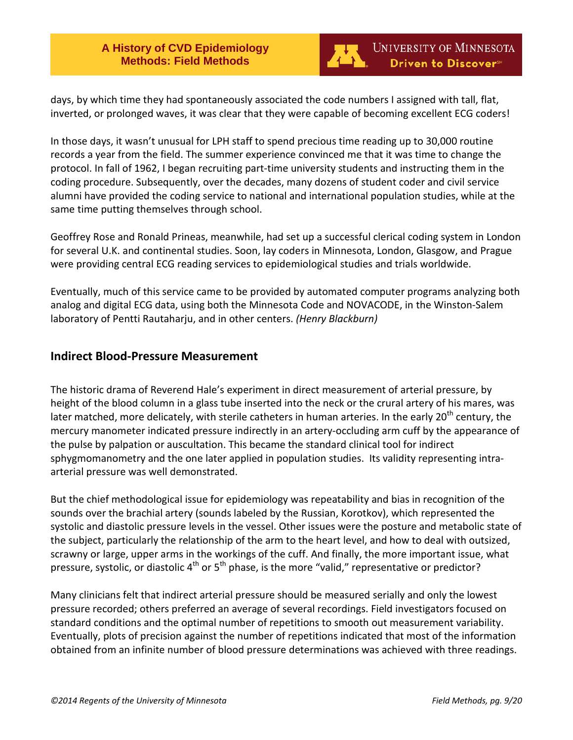

days, by which time they had spontaneously associated the code numbers I assigned with tall, flat, inverted, or prolonged waves, it was clear that they were capable of becoming excellent ECG coders!

In those days, it wasn't unusual for LPH staff to spend precious time reading up to 30,000 routine records a year from the field. The summer experience convinced me that it was time to change the protocol. In fall of 1962, I began recruiting part-time university students and instructing them in the coding procedure. Subsequently, over the decades, many dozens of student coder and civil service alumni have provided the coding service to national and international population studies, while at the same time putting themselves through school.

Geoffrey Rose and Ronald Prineas, meanwhile, had set up a successful clerical coding system in London for several U.K. and continental studies. Soon, lay coders in Minnesota, London, Glasgow, and Prague were providing central ECG reading services to epidemiological studies and trials worldwide.

Eventually, much of this service came to be provided by automated computer programs analyzing both analog and digital ECG data, using both the Minnesota Code and NOVACODE, in the Winston-Salem laboratory of Pentti Rautaharju, and in other centers. *(Henry Blackburn)*

### <span id="page-8-0"></span>**Indirect Blood-Pressure Measurement**

The historic drama of Reverend Hale's experiment in direct measurement of arterial pressure, by height of the blood column in a glass tube inserted into the neck or the crural artery of his mares, was later matched, more delicately, with sterile catheters in human arteries. In the early 20<sup>th</sup> century, the mercury manometer indicated pressure indirectly in an artery-occluding arm cuff by the appearance of the pulse by palpation or auscultation. This became the standard clinical tool for indirect sphygmomanometry and the one later applied in population studies. Its validity representing intraarterial pressure was well demonstrated.

But the chief methodological issue for epidemiology was repeatability and bias in recognition of the sounds over the brachial artery (sounds labeled by the Russian, Korotkov), which represented the systolic and diastolic pressure levels in the vessel. Other issues were the posture and metabolic state of the subject, particularly the relationship of the arm to the heart level, and how to deal with outsized, scrawny or large, upper arms in the workings of the cuff. And finally, the more important issue, what pressure, systolic, or diastolic  $4<sup>th</sup>$  or  $5<sup>th</sup>$  phase, is the more "valid," representative or predictor?

Many clinicians felt that indirect arterial pressure should be measured serially and only the lowest pressure recorded; others preferred an average of several recordings. Field investigators focused on standard conditions and the optimal number of repetitions to smooth out measurement variability. Eventually, plots of precision against the number of repetitions indicated that most of the information obtained from an infinite number of blood pressure determinations was achieved with three readings.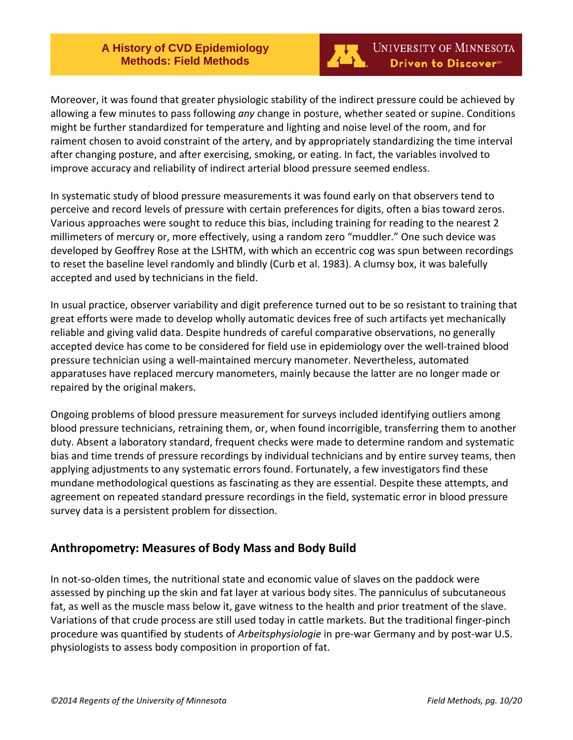

Moreover, it was found that greater physiologic stability of the indirect pressure could be achieved by allowing a few minutes to pass following *any* change in posture, whether seated or supine. Conditions might be further standardized for temperature and lighting and noise level of the room, and for raiment chosen to avoid constraint of the artery, and by appropriately standardizing the time interval after changing posture, and after exercising, smoking, or eating. In fact, the variables involved to improve accuracy and reliability of indirect arterial blood pressure seemed endless.

In systematic study of blood pressure measurements it was found early on that observers tend to perceive and record levels of pressure with certain preferences for digits, often a bias toward zeros. Various approaches were sought to reduce this bias, including training for reading to the nearest 2 millimeters of mercury or, more effectively, using a random zero "muddler." One such device was developed by Geoffrey Rose at the LSHTM, with which an eccentric cog was spun between recordings to reset the baseline level randomly and blindly (Curb et al. 1983). A clumsy box, it was balefully accepted and used by technicians in the field.

In usual practice, observer variability and digit preference turned out to be so resistant to training that great efforts were made to develop wholly automatic devices free of such artifacts yet mechanically reliable and giving valid data. Despite hundreds of careful comparative observations, no generally accepted device has come to be considered for field use in epidemiology over the well-trained blood pressure technician using a well-maintained mercury manometer. Nevertheless, automated apparatuses have replaced mercury manometers, mainly because the latter are no longer made or repaired by the original makers.

Ongoing problems of blood pressure measurement for surveys included identifying outliers among blood pressure technicians, retraining them, or, when found incorrigible, transferring them to another duty. Absent a laboratory standard, frequent checks were made to determine random and systematic bias and time trends of pressure recordings by individual technicians and by entire survey teams, then applying adjustments to any systematic errors found. Fortunately, a few investigators find these mundane methodological questions as fascinating as they are essential. Despite these attempts, and agreement on repeated standard pressure recordings in the field, systematic error in blood pressure survey data is a persistent problem for dissection.

### <span id="page-9-0"></span>**Anthropometry: Measures of Body Mass and Body Build**

In not-so-olden times, the nutritional state and economic value of slaves on the paddock were assessed by pinching up the skin and fat layer at various body sites. The panniculus of subcutaneous fat, as well as the muscle mass below it, gave witness to the health and prior treatment of the slave. Variations of that crude process are still used today in cattle markets. But the traditional finger-pinch procedure was quantified by students of *Arbeitsphysiologie* in pre-war Germany and by post-war U.S. physiologists to assess body composition in proportion of fat.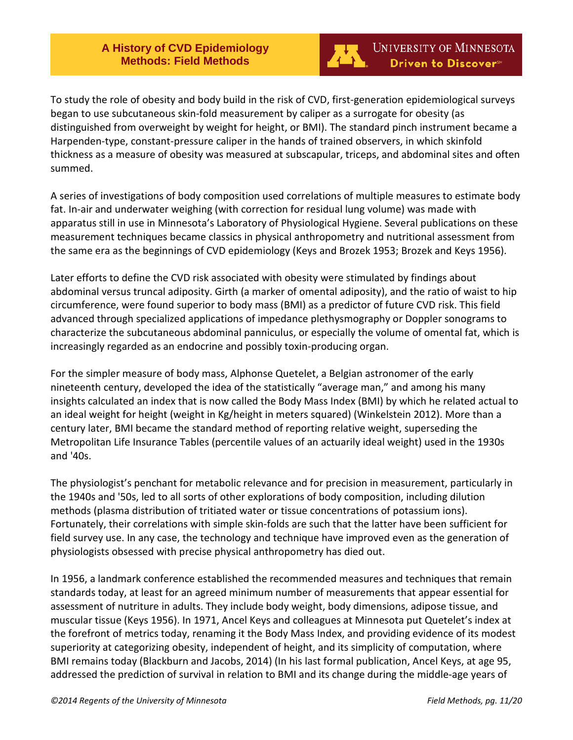

To study the role of obesity and body build in the risk of CVD, first-generation epidemiological surveys began to use subcutaneous skin-fold measurement by caliper as a surrogate for obesity (as distinguished from overweight by weight for height, or BMI). The standard pinch instrument became a Harpenden-type, constant-pressure caliper in the hands of trained observers, in which skinfold thickness as a measure of obesity was measured at subscapular, triceps, and abdominal sites and often summed.

A series of investigations of body composition used correlations of multiple measures to estimate body fat. In-air and underwater weighing (with correction for residual lung volume) was made with apparatus still in use in Minnesota's Laboratory of Physiological Hygiene. Several publications on these measurement techniques became classics in physical anthropometry and nutritional assessment from the same era as the beginnings of CVD epidemiology (Keys and Brozek 1953; Brozek and Keys 1956).

Later efforts to define the CVD risk associated with obesity were stimulated by findings about abdominal versus truncal adiposity. Girth (a marker of omental adiposity), and the ratio of waist to hip circumference, were found superior to body mass (BMI) as a predictor of future CVD risk. This field advanced through specialized applications of impedance plethysmography or Doppler sonograms to characterize the subcutaneous abdominal panniculus, or especially the volume of omental fat, which is increasingly regarded as an endocrine and possibly toxin-producing organ.

For the simpler measure of body mass, Alphonse Quetelet, a Belgian astronomer of the early nineteenth century, developed the idea of the statistically "average man," and among his many insights calculated an index that is now called the Body Mass Index (BMI) by which he related actual to an ideal weight for height (weight in Kg/height in meters squared) (Winkelstein 2012). More than a century later, BMI became the standard method of reporting relative weight, superseding the Metropolitan Life Insurance Tables (percentile values of an actuarily ideal weight) used in the 1930s and '40s.

The physiologist's penchant for metabolic relevance and for precision in measurement, particularly in the 1940s and '50s, led to all sorts of other explorations of body composition, including dilution methods (plasma distribution of tritiated water or tissue concentrations of potassium ions). Fortunately, their correlations with simple skin-folds are such that the latter have been sufficient for field survey use. In any case, the technology and technique have improved even as the generation of physiologists obsessed with precise physical anthropometry has died out.

In 1956, a landmark conference established the recommended measures and techniques that remain standards today, at least for an agreed minimum number of measurements that appear essential for assessment of nutriture in adults. They include body weight, body dimensions, adipose tissue, and muscular tissue (Keys 1956). In 1971, Ancel Keys and colleagues at Minnesota put Quetelet's index at the forefront of metrics today, renaming it the Body Mass Index, and providing evidence of its modest superiority at categorizing obesity, independent of height, and its simplicity of computation, where BMI remains today (Blackburn and Jacobs, 2014) (In his last formal publication, Ancel Keys, at age 95, addressed the prediction of survival in relation to BMI and its change during the middle-age years of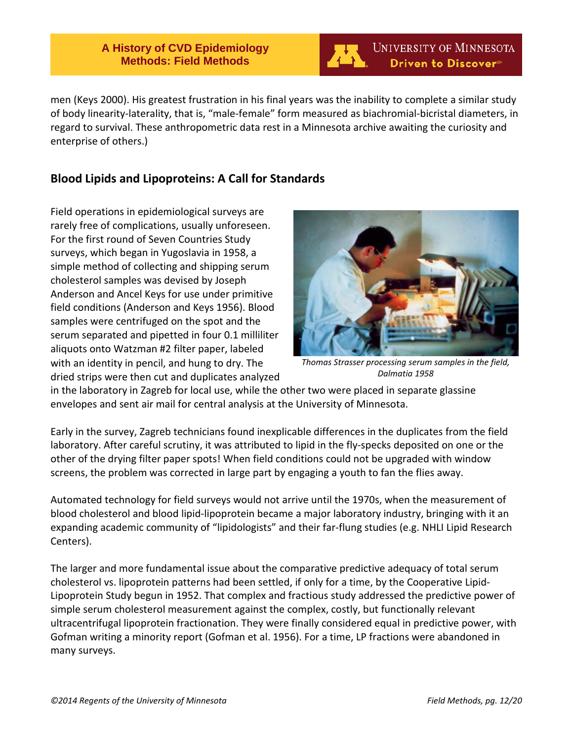

**UNIVERSITY OF MINNESOTA** Driven to Discover<sup>54</sup>

men (Keys 2000). His greatest frustration in his final years was the inability to complete a similar study of body linearity-laterality, that is, "male-female" form measured as biachromial-bicristal diameters, in regard to survival. These anthropometric data rest in a Minnesota archive awaiting the curiosity and enterprise of others.)

## <span id="page-11-0"></span>**Blood Lipids and Lipoproteins: A Call for Standards**

Field operations in epidemiological surveys are rarely free of complications, usually unforeseen. For the first round of Seven Countries Study surveys, which began in Yugoslavia in 1958, a simple method of collecting and shipping serum cholesterol samples was devised by Joseph Anderson and Ancel Keys for use under primitive field conditions (Anderson and Keys 1956). Blood samples were centrifuged on the spot and the serum separated and pipetted in four 0.1 milliliter aliquots onto Watzman #2 filter paper, labeled with an identity in pencil, and hung to dry. The dried strips were then cut and duplicates analyzed



*Thomas Strasser processing serum samples in the field, Dalmatia 1958*

in the laboratory in Zagreb for local use, while the other two were placed in separate glassine envelopes and sent air mail for central analysis at the University of Minnesota.

Early in the survey, Zagreb technicians found inexplicable differences in the duplicates from the field laboratory. After careful scrutiny, it was attributed to lipid in the fly-specks deposited on one or the other of the drying filter paper spots! When field conditions could not be upgraded with window screens, the problem was corrected in large part by engaging a youth to fan the flies away.

Automated technology for field surveys would not arrive until the 1970s, when the measurement of blood cholesterol and blood lipid-lipoprotein became a major laboratory industry, bringing with it an expanding academic community of "lipidologists" and their far-flung studies (e.g. NHLI Lipid Research Centers).

The larger and more fundamental issue about the comparative predictive adequacy of total serum cholesterol vs. lipoprotein patterns had been settled, if only for a time, by the Cooperative Lipid-Lipoprotein Study begun in 1952. That complex and fractious study addressed the predictive power of simple serum cholesterol measurement against the complex, costly, but functionally relevant ultracentrifugal lipoprotein fractionation. They were finally considered equal in predictive power, with Gofman writing a minority report (Gofman et al. 1956). For a time, LP fractions were abandoned in many surveys.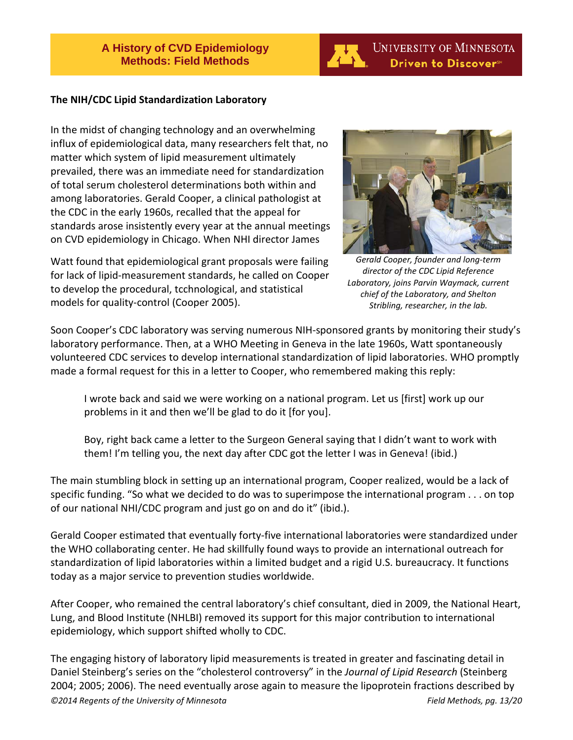

#### **The NIH/CDC Lipid Standardization Laboratory**

In the midst of changing technology and an overwhelming influx of epidemiological data, many researchers felt that, no matter which system of lipid measurement ultimately prevailed, there was an immediate need for standardization of total serum cholesterol determinations both within and among laboratories. Gerald Cooper, a clinical pathologist at the CDC in the early 1960s, recalled that the appeal for standards arose insistently every year at the annual meetings on CVD epidemiology in Chicago. When NHI director James

Watt found that epidemiological grant proposals were failing for lack of lipid-measurement standards, he called on Cooper to develop the procedural, tcchnological, and statistical models for quality-control (Cooper 2005).



*Gerald Cooper, founder and long-term director of the CDC Lipid Reference Laboratory, joins Parvin Waymack, current chief of the Laboratory, and Shelton Stribling, researcher, in the lab.*

Soon Cooper's CDC laboratory was serving numerous NIH-sponsored grants by monitoring their study's laboratory performance. Then, at a WHO Meeting in Geneva in the late 1960s, Watt spontaneously volunteered CDC services to develop international standardization of lipid laboratories. WHO promptly made a formal request for this in a letter to Cooper, who remembered making this reply:

I wrote back and said we were working on a national program. Let us [first] work up our problems in it and then we'll be glad to do it [for you].

Boy, right back came a letter to the Surgeon General saying that I didn't want to work with them! I'm telling you, the next day after CDC got the letter I was in Geneva! (ibid.)

The main stumbling block in setting up an international program, Cooper realized, would be a lack of specific funding. "So what we decided to do was to superimpose the international program . . . on top of our national NHI/CDC program and just go on and do it" (ibid.).

Gerald Cooper estimated that eventually forty-five international laboratories were standardized under the WHO collaborating center. He had skillfully found ways to provide an international outreach for standardization of lipid laboratories within a limited budget and a rigid U.S. bureaucracy. It functions today as a major service to prevention studies worldwide.

After Cooper, who remained the central laboratory's chief consultant, died in 2009, the National Heart, Lung, and Blood Institute (NHLBI) removed its support for this major contribution to international epidemiology, which support shifted wholly to CDC.

The engaging history of laboratory lipid measurements is treated in greater and fascinating detail in Daniel Steinberg's series on the "cholesterol controversy" in the *Journal of Lipid Research* (Steinberg 2004; 2005; 2006). The need eventually arose again to measure the lipoprotein fractions described by *©2014 Regents of the University of Minnesota Field Methods, pg. 13/20*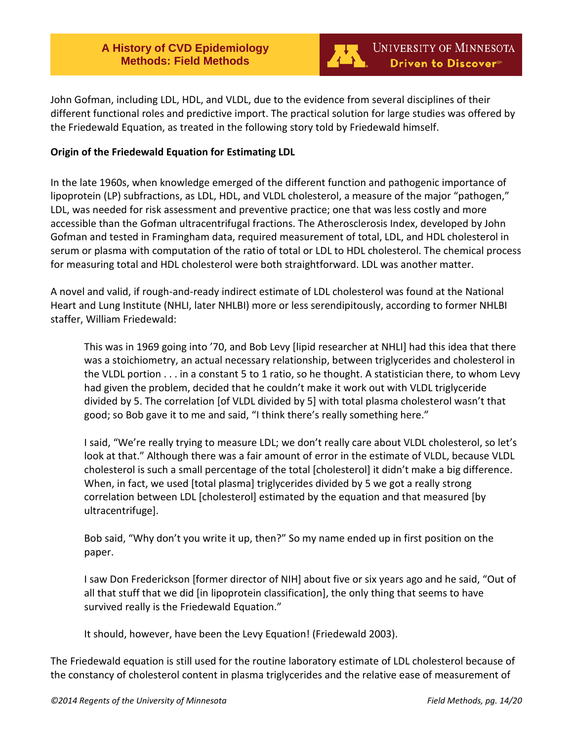

John Gofman, including LDL, HDL, and VLDL, due to the evidence from several disciplines of their different functional roles and predictive import. The practical solution for large studies was offered by the Friedewald Equation, as treated in the following story told by Friedewald himself.

#### **Origin of the Friedewald Equation for Estimating LDL**

In the late 1960s, when knowledge emerged of the different function and pathogenic importance of lipoprotein (LP) subfractions, as LDL, HDL, and VLDL cholesterol, a measure of the major "pathogen," LDL, was needed for risk assessment and preventive practice; one that was less costly and more accessible than the Gofman ultracentrifugal fractions. The Atherosclerosis Index, developed by John Gofman and tested in Framingham data, required measurement of total, LDL, and HDL cholesterol in serum or plasma with computation of the ratio of total or LDL to HDL cholesterol. The chemical process for measuring total and HDL cholesterol were both straightforward. LDL was another matter.

A novel and valid, if rough-and-ready indirect estimate of LDL cholesterol was found at the National Heart and Lung Institute (NHLI, later NHLBI) more or less serendipitously, according to former NHLBI staffer, William Friedewald:

This was in 1969 going into '70, and Bob Levy [lipid researcher at NHLI] had this idea that there was a stoichiometry, an actual necessary relationship, between triglycerides and cholesterol in the VLDL portion . . . in a constant 5 to 1 ratio, so he thought. A statistician there, to whom Levy had given the problem, decided that he couldn't make it work out with VLDL triglyceride divided by 5. The correlation [of VLDL divided by 5] with total plasma cholesterol wasn't that good; so Bob gave it to me and said, "I think there's really something here."

I said, "We're really trying to measure LDL; we don't really care about VLDL cholesterol, so let's look at that." Although there was a fair amount of error in the estimate of VLDL, because VLDL cholesterol is such a small percentage of the total [cholesterol] it didn't make a big difference. When, in fact, we used [total plasma] triglycerides divided by 5 we got a really strong correlation between LDL [cholesterol] estimated by the equation and that measured [by ultracentrifuge].

Bob said, "Why don't you write it up, then?" So my name ended up in first position on the paper.

I saw Don Frederickson [former director of NIH] about five or six years ago and he said, "Out of all that stuff that we did [in lipoprotein classification], the only thing that seems to have survived really is the Friedewald Equation."

It should, however, have been the Levy Equation! (Friedewald 2003).

The Friedewald equation is still used for the routine laboratory estimate of LDL cholesterol because of the constancy of cholesterol content in plasma triglycerides and the relative ease of measurement of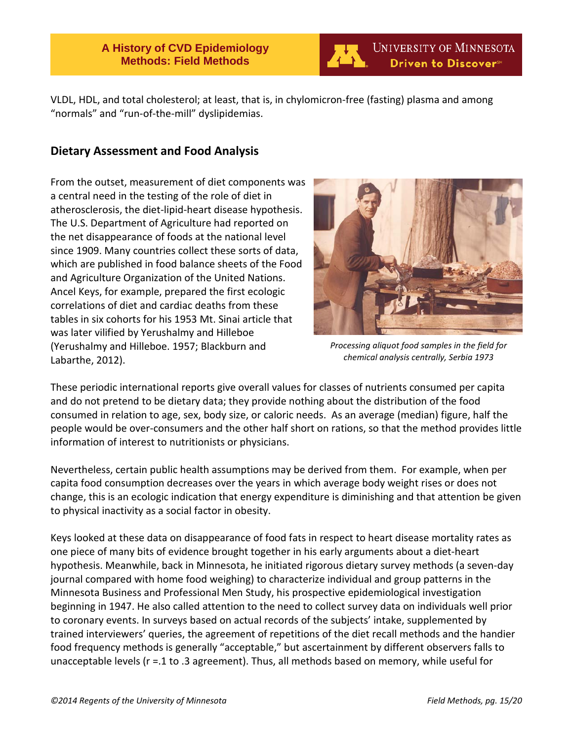**UNIVERSITY OF MINNESOTA** Driven to Discover<sup>54</sup>

VLDL, HDL, and total cholesterol; at least, that is, in chylomicron-free (fasting) plasma and among "normals" and "run-of-the-mill" dyslipidemias.

## <span id="page-14-0"></span>**Dietary Assessment and Food Analysis**

From the outset, measurement of diet components was a central need in the testing of the role of diet in atherosclerosis, the diet-lipid-heart disease hypothesis. The U.S. Department of Agriculture had reported on the net disappearance of foods at the national level since 1909. Many countries collect these sorts of data, which are published in food balance sheets of the Food and Agriculture Organization of the United Nations. Ancel Keys, for example, prepared the first ecologic correlations of diet and cardiac deaths from these tables in six cohorts for his 1953 Mt. Sinai article that was later vilified by Yerushalmy and Hilleboe (Yerushalmy and Hilleboe. 1957; Blackburn and Labarthe, 2012).



*Processing aliquot food samples in the field for chemical analysis centrally, Serbia 1973*

These periodic international reports give overall values for classes of nutrients consumed per capita and do not pretend to be dietary data; they provide nothing about the distribution of the food consumed in relation to age, sex, body size, or caloric needs. As an average (median) figure, half the people would be over-consumers and the other half short on rations, so that the method provides little information of interest to nutritionists or physicians.

Nevertheless, certain public health assumptions may be derived from them. For example, when per capita food consumption decreases over the years in which average body weight rises or does not change, this is an ecologic indication that energy expenditure is diminishing and that attention be given to physical inactivity as a social factor in obesity.

Keys looked at these data on disappearance of food fats in respect to heart disease mortality rates as one piece of many bits of evidence brought together in his early arguments about a diet-heart hypothesis. Meanwhile, back in Minnesota, he initiated rigorous dietary survey methods (a seven-day journal compared with home food weighing) to characterize individual and group patterns in the Minnesota Business and Professional Men Study, his prospective epidemiological investigation beginning in 1947. He also called attention to the need to collect survey data on individuals well prior to coronary events. In surveys based on actual records of the subjects' intake, supplemented by trained interviewers' queries, the agreement of repetitions of the diet recall methods and the handier food frequency methods is generally "acceptable," but ascertainment by different observers falls to unacceptable levels (r =.1 to .3 agreement). Thus, all methods based on memory, while useful for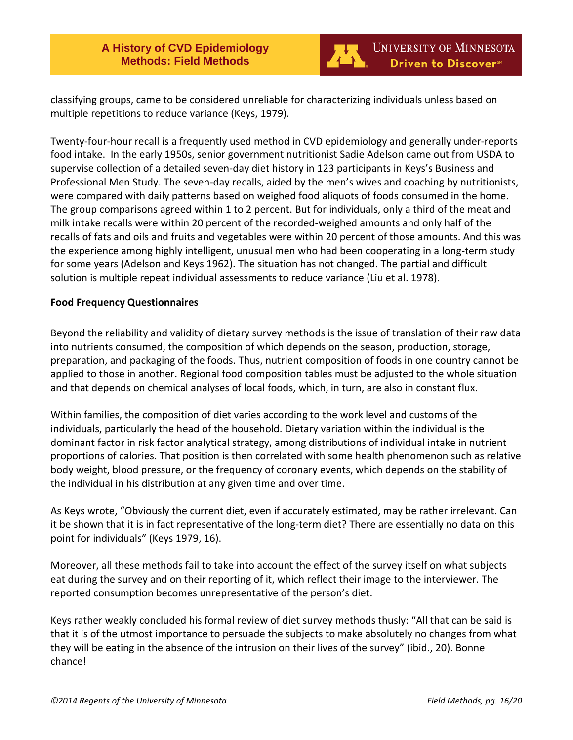

classifying groups, came to be considered unreliable for characterizing individuals unless based on multiple repetitions to reduce variance (Keys, 1979).

Twenty-four-hour recall is a frequently used method in CVD epidemiology and generally under-reports food intake. In the early 1950s, senior government nutritionist Sadie Adelson came out from USDA to supervise collection of a detailed seven-day diet history in 123 participants in Keys's Business and Professional Men Study. The seven-day recalls, aided by the men's wives and coaching by nutritionists, were compared with daily patterns based on weighed food aliquots of foods consumed in the home. The group comparisons agreed within 1 to 2 percent. But for individuals, only a third of the meat and milk intake recalls were within 20 percent of the recorded-weighed amounts and only half of the recalls of fats and oils and fruits and vegetables were within 20 percent of those amounts. And this was the experience among highly intelligent, unusual men who had been cooperating in a long-term study for some years (Adelson and Keys 1962). The situation has not changed. The partial and difficult solution is multiple repeat individual assessments to reduce variance (Liu et al. 1978).

#### **Food Frequency Questionnaires**

Beyond the reliability and validity of dietary survey methods is the issue of translation of their raw data into nutrients consumed, the composition of which depends on the season, production, storage, preparation, and packaging of the foods. Thus, nutrient composition of foods in one country cannot be applied to those in another. Regional food composition tables must be adjusted to the whole situation and that depends on chemical analyses of local foods, which, in turn, are also in constant flux.

Within families, the composition of diet varies according to the work level and customs of the individuals, particularly the head of the household. Dietary variation within the individual is the dominant factor in risk factor analytical strategy, among distributions of individual intake in nutrient proportions of calories. That position is then correlated with some health phenomenon such as relative body weight, blood pressure, or the frequency of coronary events, which depends on the stability of the individual in his distribution at any given time and over time.

As Keys wrote, "Obviously the current diet, even if accurately estimated, may be rather irrelevant. Can it be shown that it is in fact representative of the long-term diet? There are essentially no data on this point for individuals" (Keys 1979, 16).

Moreover, all these methods fail to take into account the effect of the survey itself on what subjects eat during the survey and on their reporting of it, which reflect their image to the interviewer. The reported consumption becomes unrepresentative of the person's diet.

Keys rather weakly concluded his formal review of diet survey methods thusly: "All that can be said is that it is of the utmost importance to persuade the subjects to make absolutely no changes from what they will be eating in the absence of the intrusion on their lives of the survey" (ibid., 20). Bonne chance!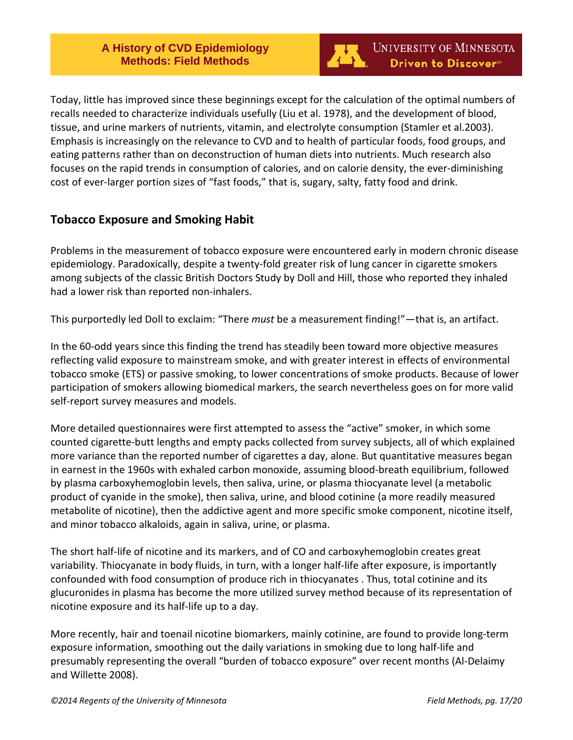

Today, little has improved since these beginnings except for the calculation of the optimal numbers of recalls needed to characterize individuals usefully (Liu et al. 1978), and the development of blood, tissue, and urine markers of nutrients, vitamin, and electrolyte consumption (Stamler et al.2003). Emphasis is increasingly on the relevance to CVD and to health of particular foods, food groups, and eating patterns rather than on deconstruction of human diets into nutrients. Much research also focuses on the rapid trends in consumption of calories, and on calorie density, the ever-diminishing cost of ever-larger portion sizes of "fast foods," that is, sugary, salty, fatty food and drink.

## <span id="page-16-0"></span>**Tobacco Exposure and Smoking Habit**

Problems in the measurement of tobacco exposure were encountered early in modern chronic disease epidemiology. Paradoxically, despite a twenty-fold greater risk of lung cancer in cigarette smokers among subjects of the classic British Doctors Study by Doll and Hill, those who reported they inhaled had a lower risk than reported non-inhalers.

This purportedly led Doll to exclaim: "There *must* be a measurement finding!"—that is, an artifact.

In the 60-odd years since this finding the trend has steadily been toward more objective measures reflecting valid exposure to mainstream smoke, and with greater interest in effects of environmental tobacco smoke (ETS) or passive smoking, to lower concentrations of smoke products. Because of lower participation of smokers allowing biomedical markers, the search nevertheless goes on for more valid self-report survey measures and models.

More detailed questionnaires were first attempted to assess the "active" smoker, in which some counted cigarette-butt lengths and empty packs collected from survey subjects, all of which explained more variance than the reported number of cigarettes a day, alone. But quantitative measures began in earnest in the 1960s with exhaled carbon monoxide, assuming blood-breath equilibrium, followed by plasma carboxyhemoglobin levels, then saliva, urine, or plasma thiocyanate level (a metabolic product of cyanide in the smoke), then saliva, urine, and blood cotinine (a more readily measured metabolite of nicotine), then the addictive agent and more specific smoke component, nicotine itself, and minor tobacco alkaloids, again in saliva, urine, or plasma.

The short half-life of nicotine and its markers, and of CO and carboxyhemoglobin creates great variability. Thiocyanate in body fluids, in turn, with a longer half-life after exposure, is importantly confounded with food consumption of produce rich in thiocyanates . Thus, total cotinine and its glucuronides in plasma has become the more utilized survey method because of its representation of nicotine exposure and its half-life up to a day.

More recently, hair and toenail nicotine biomarkers, mainly cotinine, are found to provide long-term exposure information, smoothing out the daily variations in smoking due to long half-life and presumably representing the overall "burden of tobacco exposure" over recent months (Al-Delaimy and Willette 2008).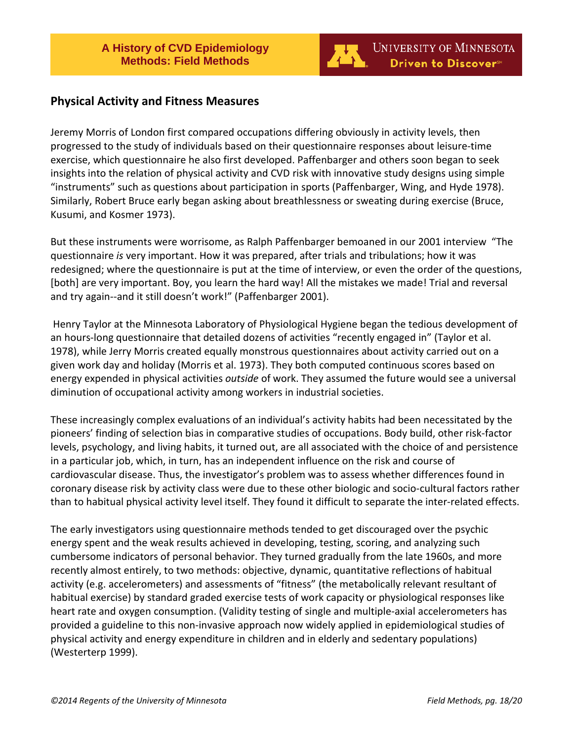

## <span id="page-17-0"></span>**Physical Activity and Fitness Measures**

Jeremy Morris of London first compared occupations differing obviously in activity levels, then progressed to the study of individuals based on their questionnaire responses about leisure-time exercise, which questionnaire he also first developed. Paffenbarger and others soon began to seek insights into the relation of physical activity and CVD risk with innovative study designs using simple "instruments" such as questions about participation in sports (Paffenbarger, Wing, and Hyde 1978). Similarly, Robert Bruce early began asking about breathlessness or sweating during exercise (Bruce, Kusumi, and Kosmer 1973).

But these instruments were worrisome, as Ralph Paffenbarger bemoaned in our 2001 interview "The questionnaire *is* very important. How it was prepared, after trials and tribulations; how it was redesigned; where the questionnaire is put at the time of interview, or even the order of the questions, [both] are very important. Boy, you learn the hard way! All the mistakes we made! Trial and reversal and try again--and it still doesn't work!" (Paffenbarger 2001).

Henry Taylor at the Minnesota Laboratory of Physiological Hygiene began the tedious development of an hours-long questionnaire that detailed dozens of activities "recently engaged in" (Taylor et al. 1978), while Jerry Morris created equally monstrous questionnaires about activity carried out on a given work day and holiday (Morris et al. 1973). They both computed continuous scores based on energy expended in physical activities *outside* of work. They assumed the future would see a universal diminution of occupational activity among workers in industrial societies.

These increasingly complex evaluations of an individual's activity habits had been necessitated by the pioneers' finding of selection bias in comparative studies of occupations. Body build, other risk-factor levels, psychology, and living habits, it turned out, are all associated with the choice of and persistence in a particular job, which, in turn, has an independent influence on the risk and course of cardiovascular disease. Thus, the investigator's problem was to assess whether differences found in coronary disease risk by activity class were due to these other biologic and socio-cultural factors rather than to habitual physical activity level itself. They found it difficult to separate the inter-related effects.

The early investigators using questionnaire methods tended to get discouraged over the psychic energy spent and the weak results achieved in developing, testing, scoring, and analyzing such cumbersome indicators of personal behavior. They turned gradually from the late 1960s, and more recently almost entirely, to two methods: objective, dynamic, quantitative reflections of habitual activity (e.g. accelerometers) and assessments of "fitness" (the metabolically relevant resultant of habitual exercise) by standard graded exercise tests of work capacity or physiological responses like heart rate and oxygen consumption. (Validity testing of single and multiple-axial accelerometers has provided a guideline to this non-invasive approach now widely applied in epidemiological studies of physical activity and energy expenditure in children and in elderly and sedentary populations) (Westerterp 1999).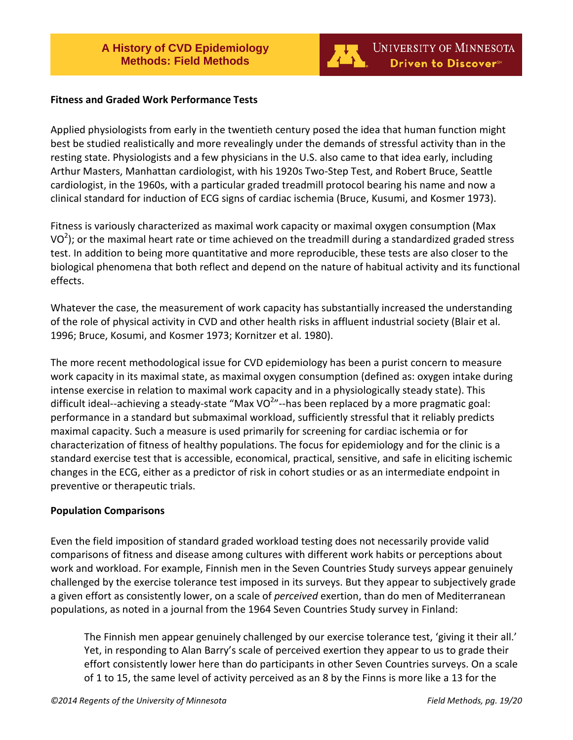

#### **Fitness and Graded Work Performance Tests**

Applied physiologists from early in the twentieth century posed the idea that human function might best be studied realistically and more revealingly under the demands of stressful activity than in the resting state. Physiologists and a few physicians in the U.S. also came to that idea early, including Arthur Masters, Manhattan cardiologist, with his 1920s Two-Step Test, and Robert Bruce, Seattle cardiologist, in the 1960s, with a particular graded treadmill protocol bearing his name and now a clinical standard for induction of ECG signs of cardiac ischemia (Bruce, Kusumi, and Kosmer 1973).

Fitness is variously characterized as maximal work capacity or maximal oxygen consumption (Max VO<sup>2</sup>); or the maximal heart rate or time achieved on the treadmill during a standardized graded stress test. In addition to being more quantitative and more reproducible, these tests are also closer to the biological phenomena that both reflect and depend on the nature of habitual activity and its functional effects.

Whatever the case, the measurement of work capacity has substantially increased the understanding of the role of physical activity in CVD and other health risks in affluent industrial society (Blair et al. 1996; Bruce, Kosumi, and Kosmer 1973; Kornitzer et al. 1980).

The more recent methodological issue for CVD epidemiology has been a purist concern to measure work capacity in its maximal state, as maximal oxygen consumption (defined as: oxygen intake during intense exercise in relation to maximal work capacity and in a physiologically steady state). This difficult ideal--achieving a steady-state "Max VO<sup>2</sup>"--has been replaced by a more pragmatic goal: performance in a standard but submaximal workload, sufficiently stressful that it reliably predicts maximal capacity. Such a measure is used primarily for screening for cardiac ischemia or for characterization of fitness of healthy populations. The focus for epidemiology and for the clinic is a standard exercise test that is accessible, economical, practical, sensitive, and safe in eliciting ischemic changes in the ECG, either as a predictor of risk in cohort studies or as an intermediate endpoint in preventive or therapeutic trials.

#### **Population Comparisons**

Even the field imposition of standard graded workload testing does not necessarily provide valid comparisons of fitness and disease among cultures with different work habits or perceptions about work and workload. For example, Finnish men in the Seven Countries Study surveys appear genuinely challenged by the exercise tolerance test imposed in its surveys. But they appear to subjectively grade a given effort as consistently lower, on a scale of *perceived* exertion, than do men of Mediterranean populations, as noted in a journal from the 1964 Seven Countries Study survey in Finland:

The Finnish men appear genuinely challenged by our exercise tolerance test, 'giving it their all.' Yet, in responding to Alan Barry's scale of perceived exertion they appear to us to grade their effort consistently lower here than do participants in other Seven Countries surveys. On a scale of 1 to 15, the same level of activity perceived as an 8 by the Finns is more like a 13 for the